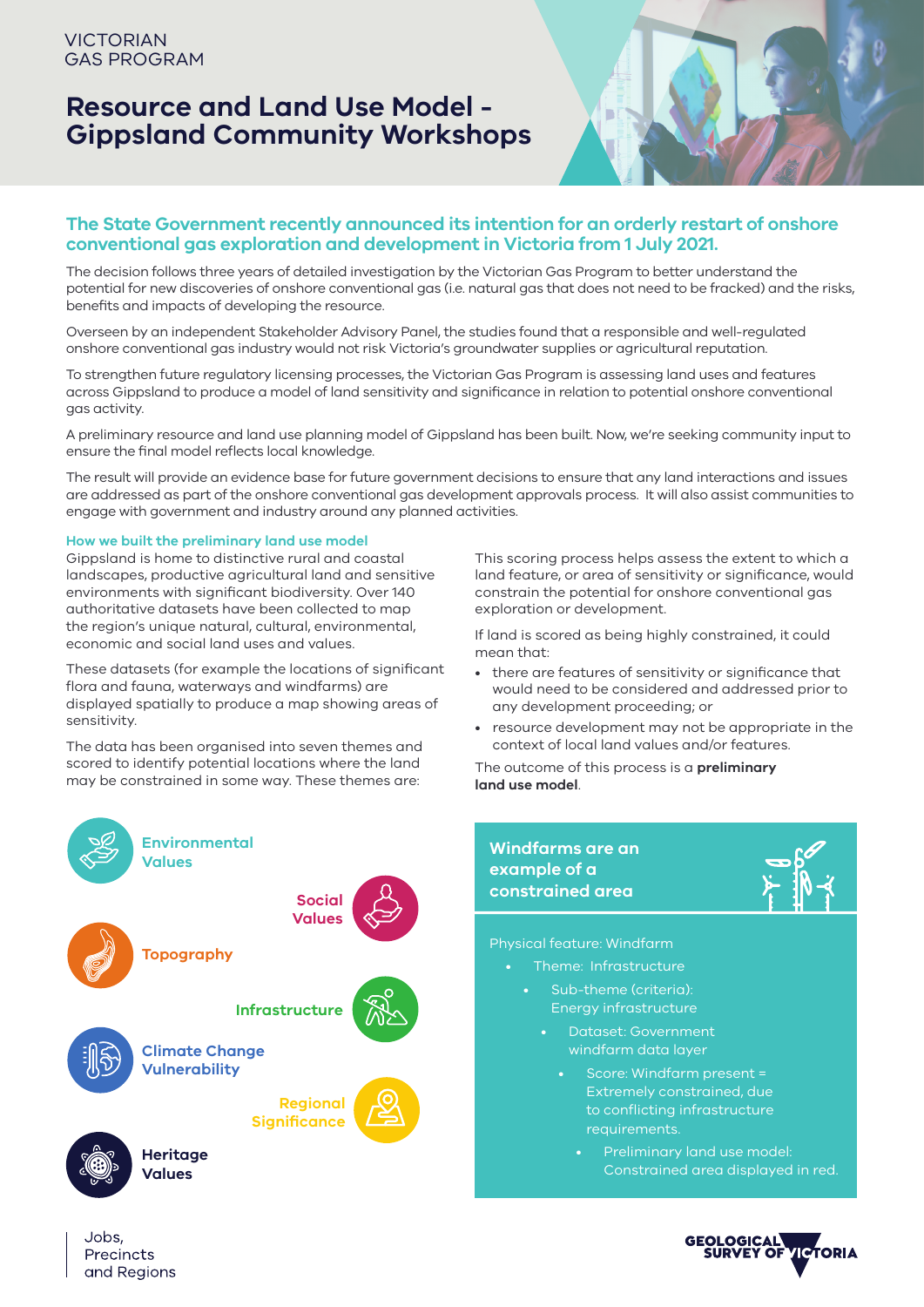# **Resource and Land Use Model - Gippsland Community Workshops**



## **The State Government recently announced its intention for an orderly restart of onshore conventional gas exploration and development in Victoria from 1 July 2021.**

The decision follows three years of detailed investigation by the Victorian Gas Program to better understand the potential for new discoveries of onshore conventional gas (i.e. natural gas that does not need to be fracked) and the risks, benefits and impacts of developing the resource.

Overseen by an independent Stakeholder Advisory Panel, the studies found that a responsible and well-regulated onshore conventional gas industry would not risk Victoria's groundwater supplies or agricultural reputation.

To strengthen future regulatory licensing processes, the Victorian Gas Program is assessing land uses and features across Gippsland to produce a model of land sensitivity and significance in relation to potential onshore conventional gas activity.

A preliminary resource and land use planning model of Gippsland has been built. Now, we're seeking community input to ensure the final model reflects local knowledge.

The result will provide an evidence base for future government decisions to ensure that any land interactions and issues are addressed as part of the onshore conventional gas development approvals process. It will also assist communities to engage with government and industry around any planned activities.

## **How we built the preliminary land use model**

Gippsland is home to distinctive rural and coastal landscapes, productive agricultural land and sensitive environments with significant biodiversity. Over 140 authoritative datasets have been collected to map the region's unique natural, cultural, environmental, economic and social land uses and values.

These datasets (for example the locations of significant flora and fauna, waterways and windfarms) are displayed spatially to produce a map showing areas of sensitivity.

The data has been organised into seven themes and scored to identify potential locations where the land may be constrained in some way. These themes are:



Jobs.

Precincts and Regions

This scoring process helps assess the extent to which a land feature, or area of sensitivity or significance, would constrain the potential for onshore conventional gas exploration or development.

If land is scored as being highly constrained, it could mean that:

- there are features of sensitivity or significance that would need to be considered and addressed prior to any development proceeding; or
- resource development may not be appropriate in the context of local land values and/or features.

The outcome of this process is a **preliminary land use model**.



- Theme: Infrastructure
	- Sub-theme (criteria): Energy infrastructure
		- Dataset: Government windfarm data layer
			- Score: Windfarm present = Extremely constrained, due to conflicting infrastructure requirements.
				- Preliminary land use model: Constrained area displayed in red.